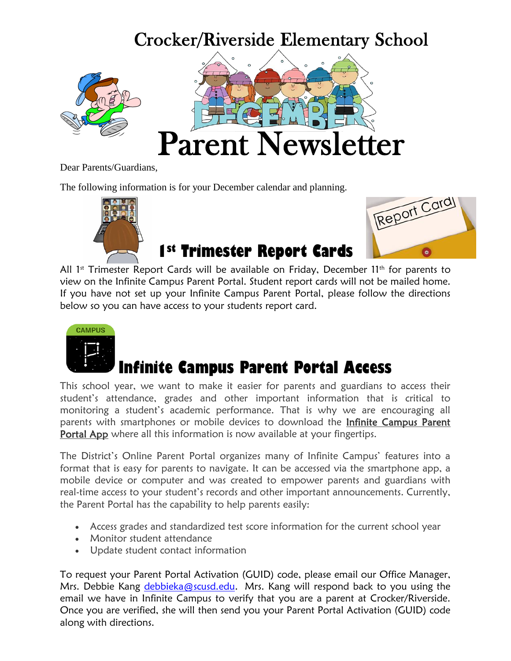### Crocker/Riverside Elementary School





Dear Parents/Guardians,

The following information is for your December calendar and planning.



# Report Card

**1st Trimester Report Cards**

All  $1<sup>st</sup>$  Trimester Report Cards will be available on Friday, December 11<sup>th</sup> for parents to view on the Infinite Campus Parent Portal. Student report cards will not be mailed home. If you have not set up your Infinite Campus Parent Portal, please follow the directions below so you can have access to your students report card.



## **Infinite Campus Parent Portal Access**

This school year, we want to make it easier for parents and guardians to access their student's attendance, grades and other important information that is critical to monitoring a student's academic performance. That is why we are encouraging all parents with smartphones or mobile devices to download the Infinite Campus Parent Portal App where all this information is now available at your fingertips.

The District's Online Parent Portal organizes many of Infinite Campus' features into a format that is easy for parents to navigate. It can be accessed via the smartphone app, a mobile device or computer and was created to empower parents and guardians with real-time access to your student's records and other important announcements. Currently, the Parent Portal has the capability to help parents easily:

- Access grades and standardized test score information for the current school year
- Monitor student attendance
- Update student contact information

To request your Parent Portal Activation (GUID) code, please email our Office Manager, Mrs. Debbie Kang [debbieka@scusd.edu.](mailto:debbieka@scusd.edu) Mrs. Kang will respond back to you using the email we have in Infinite Campus to verify that you are a parent at Crocker/Riverside. Once you are verified, she will then send you your Parent Portal Activation (GUID) code along with directions.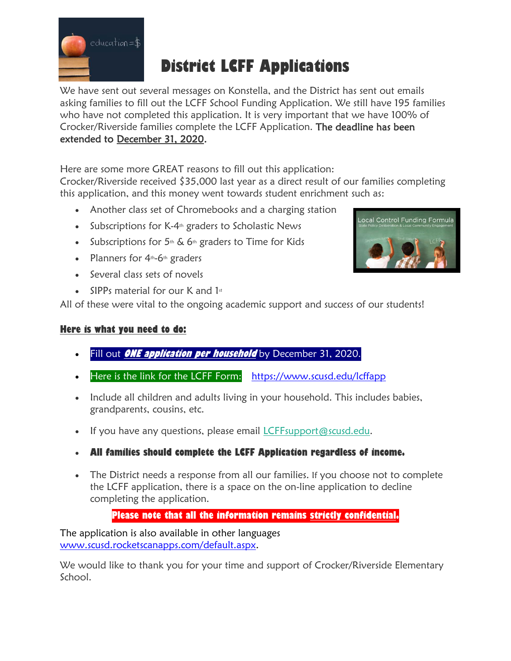

#### **District LCFF Applications**

We have sent out several messages on Konstella, and the District has sent out emails asking families to fill out the LCFF School Funding Application. We still have 195 families who have not completed this application. It is very important that we have 100% of Crocker/Riverside families complete the LCFF Application. The deadline has been extended to December 31, 2020.

Here are some more GREAT reasons to fill out this application:

Crocker/Riverside received \$35,000 last year as a direct result of our families completing this application, and this money went towards student enrichment such as:

- Another class set of Chromebooks and a charging station
- $\bullet$  Subscriptions for K-4<sup>th</sup> graders to Scholastic News
- Subscriptions for  $5<sup>th</sup>$  & 6<sup>th</sup> graders to Time for Kids
- Planners for  $4<sup>th</sup>$ -6<sup>th</sup> graders
- Several class sets of novels
- SIPPs material for our K and  $1st$

All of these were vital to the ongoing academic support and success of our students!

#### **Here is what you need to do:**

- Fill out **ONE application per household** by December 31, 2020.
- Here is the link for the LCFF Form: <https://www.scusd.edu/lcffapp>
- Include all children and adults living in your household. This includes babies, grandparents, cousins, etc.
- If you have any questions, please email *[LCFFsupport@scusd.edu.](mailto:LCFFsupport@scusd.edu)*
- **All families should complete the LCFF Application regardless of income.**
- The District needs a response from all our families. If you choose not to complete the LCFF application, there is a space on the on-line application to decline completing the application.

#### **Please note that all the information remains strictly confidential.**

The application is also available in other languages [www.scusd.rocketscanapps.com/default.aspx.](http://www.scusd.rocketscanapps.com/default.aspx)

We would like to thank you for your time and support of Crocker/Riverside Elementary School.